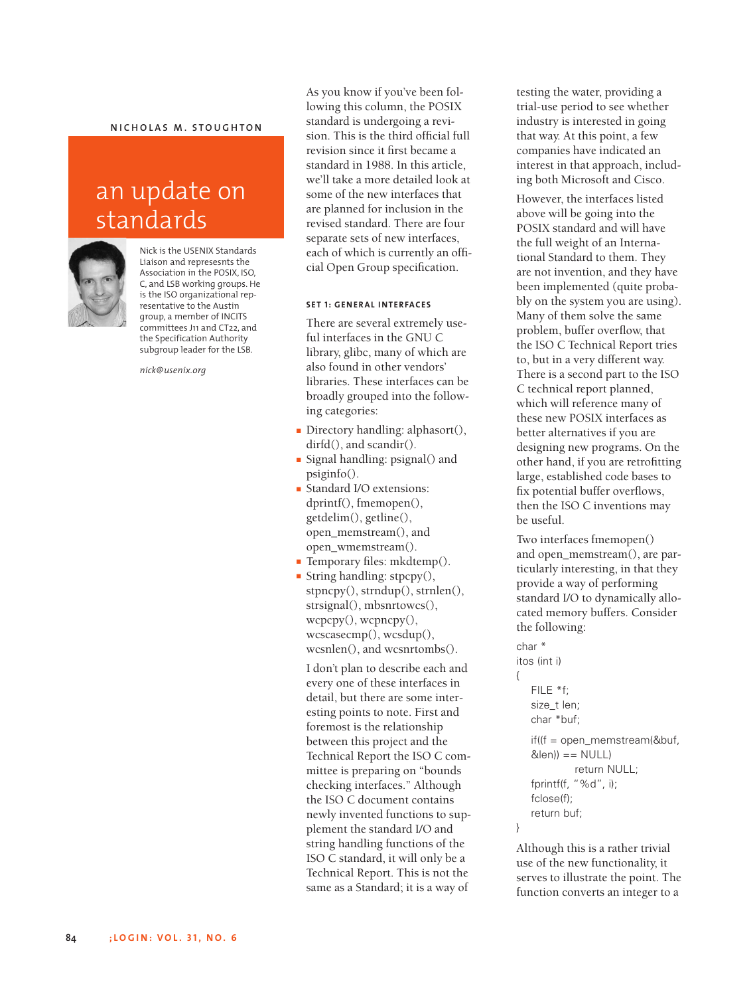## $M$  **N ICHOLAS M .** STOUGHTON

# an update on standards



Nick is the USENIX Standards Liaison and represesnts the Association in the POSIX, ISO, C, and LSB working groups. He is the ISO organizational representative to the Austin group, a member of INCITS committees J11 and CT22, and the Specification Authority subgroup leader for the LSB.

*nick@usenix.org*

As you know if you've been following this column, the POSIX standard is undergoing a revision. This is the third official full revision since it first became a standard in 1988. In this article, we'll take a more detailed look at some of the new interfaces that are planned for inclusion in the revised standard. There are four separate sets of new interfaces, each of which is currently an official Open Group specification.

## **SET 1: GENERAL INTERFACES**

There are several extremely useful interfaces in the GNU C library, glibc, many of which are also found in other vendors' libraries. These interfaces can be broadly grouped into the following categories:

- Directory handling: alphasort(), dirfd(), and scandir().
- Signal handling: psignal() and psiginfo().
- Standard I/O extensions: dprintf(), fmemopen(), getdelim(), getline(), open\_memstream(), and open\_wmemstream().
- Temporary files: mkdtemp().
- String handling: stpcpy(), stpncpy(), strndup(), strnlen(), strsignal(), mbsnrtowcs(), wcpcpy(), wcpncpy(), wcscasecmp(), wcsdup(), wcsnlen(), and wcsnrtombs().

I don't plan to describe each and every one of these interfaces in detail, but there are some interesting points to note. First and foremost is the relationship between this project and the Technical Report the ISO C committee is preparing on "bounds checking interfaces." Although the ISO C document contains newly invented functions to supplement the standard I/O and string handling functions of the ISO C standard, it will only be a Technical Report. This is not the same as a Standard; it is a way of

testing the water, providing a trial-use period to see whether industry is interested in going that way. At this point, a few companies have indicated an interest in that approach, including both Microsoft and Cisco.

However, the interfaces listed above will be going into the POSIX standard and will have the full weight of an International Standard to them. They are not invention, and they have been implemented (quite probably on the system you are using). Many of them solve the same problem, buffer overflow, that the ISO C Technical Report tries to, but in a very different way. There is a second part to the ISO C technical report planned, which will reference many of these new POSIX interfaces as better alternatives if you are designing new programs. On the other hand, if you are retrofitting large, established code bases to fix potential buffer overflows, then the ISO C inventions may be useful.

Two interfaces fmemopen() and open\_memstream(), are particularly interesting, in that they provide a way of performing standard I/O to dynamically allocated memory buffers. Consider the following:

```
char *
itos (int i)
  FILE *f;
   size t len;
   char *buf;
   if((f = open_memstream(&buf,
   &len)) == NULL)
            return NULL;
   fprintf(f, "%d", i);
   fclose(f);
   return buf;
```
{

}

Although this is a rather trivial use of the new functionality, it serves to illustrate the point. The function converts an integer to a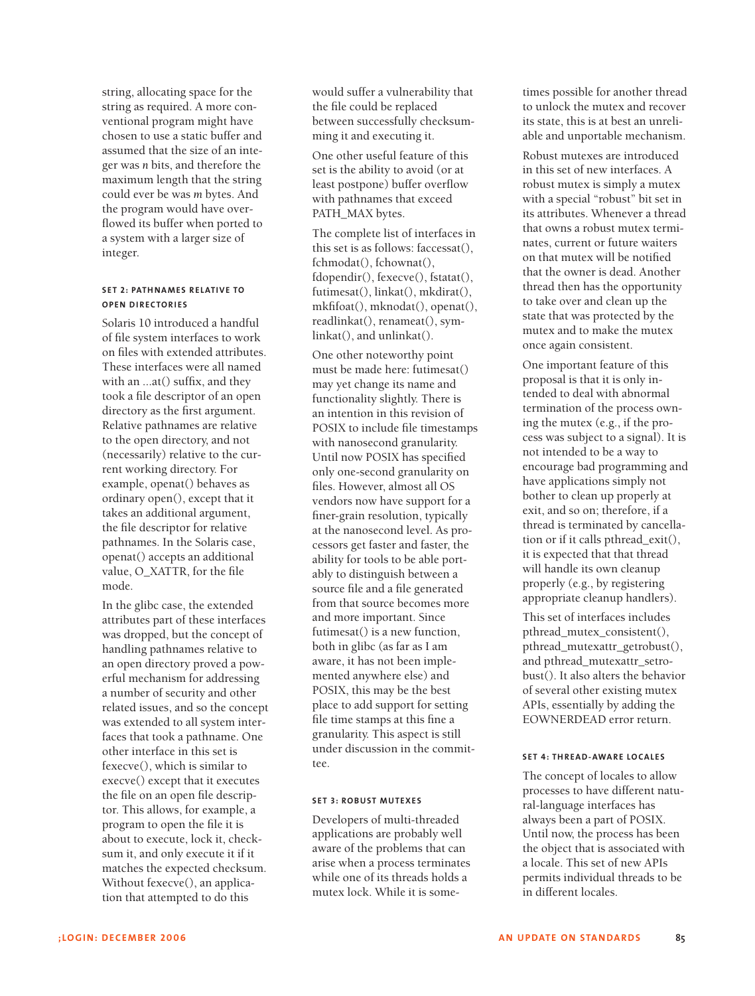string, allocating space for the string as required. A more conventional program might have chosen to use a static buffer and assumed that the size of an integer was *n* bits, and therefore the maximum length that the string could ever be was *m* bytes. And the program would have overflowed its buffer when ported to a system with a larger size of integer.

## **SET 2 : PATHNAMES RELATIVE TO OPEN DIRECTORI ES**

Solaris 10 introduced a handful of file system interfaces to work on files with extended attributes. These interfaces were all named with an ...at() suffix, and they took a file descriptor of an open directory as the first argument. Relative pathnames are relative to the open directory, and not (necessarily) relative to the current working directory. For example, openat() behaves as ordinary open(), except that it takes an additional argument, the file descriptor for relative pathnames. In the Solaris case, openat() accepts an additional value, O\_XATTR, for the file mode.

In the glibc case, the extended attributes part of these interfaces was dropped, but the concept of handling pathnames relative to an open directory proved a powerful mechanism for addressing a number of security and other related issues, and so the concept was extended to all system interfaces that took a pathname. One other interface in this set is fexecve(), which is similar to execve() except that it executes the file on an open file descriptor. This allows, for example, a program to open the file it is about to execute, lock it, checksum it, and only execute it if it matches the expected checksum. Without fexecve(), an application that attempted to do this

would suffer a vulnerability that the file could be replaced between successfully checksumming it and executing it.

One other useful feature of this set is the ability to avoid (or at least postpone) buffer overflow with pathnames that exceed PATH\_MAX bytes.

The complete list of interfaces in this set is as follows: faccessat(), fchmodat(), fchownat(), fdopendir(), fexecve(), fstatat(), futimesat(), linkat(), mkdirat(), mkfifoat(), mknodat(), openat(), readlinkat(), renameat(), symlinkat(), and unlinkat().

One other noteworthy point must be made here: futimesat() may yet change its name and functionality slightly. There is an intention in this revision of POSIX to include file timestamps with nanosecond granularity. Until now POSIX has specified only one-second granularity on files. However, almost all OS vendors now have support for a finer-grain resolution, typically at the nanosecond level. As processors get faster and faster, the ability for tools to be able portably to distinguish between a source file and a file generated from that source becomes more and more important. Since futimesat() is a new function. both in glibc (as far as I am aware, it has not been implemented anywhere else) and POSIX, this may be the best place to add support for setting file time stamps at this fine a granularity. This aspect is still under discussion in the committee.

## **SET 3 : ROBUST MUTEXES**

Developers of multi-threaded applications are probably well aware of the problems that can arise when a process terminates while one of its threads holds a mutex lock. While it is sometimes possible for another thread to unlock the mutex and recover its state, this is at best an unreliable and unportable mechanism.

Robust mutexes are introduced in this set of new interfaces. A robust mutex is simply a mutex with a special "robust" bit set in its attributes. Whenever a thread that owns a robust mutex terminates, current or future waiters on that mutex will be notified that the owner is dead. Another thread then has the opportunity to take over and clean up the state that was protected by the mutex and to make the mutex once again consistent.

One important feature of this proposal is that it is only intended to deal with abnormal termination of the process owning the mutex (e.g., if the process was subject to a signal). It is not intended to be a way to encourage bad programming and have applications simply not bother to clean up properly at exit, and so on; therefore, if a thread is terminated by cancellation or if it calls pthread\_exit(), it is expected that that thread will handle its own cleanup properly (e.g., by registering appropriate cleanup handlers).

This set of interfaces includes pthread\_mutex\_consistent(), pthread\_mutexattr\_getrobust(), and pthread\_mutexattr\_setrobust(). It also alters the behavior of several other existing mutex APIs, essentially by adding the EOWNERDEAD error return.

## **SET 4: THREAD-AWARE LOCALES**

The concept of locales to allow processes to have different natural-language interfaces has always been a part of POSIX. Until now, the process has been the object that is associated with a locale. This set of new APIs permits individual threads to be in different locales.